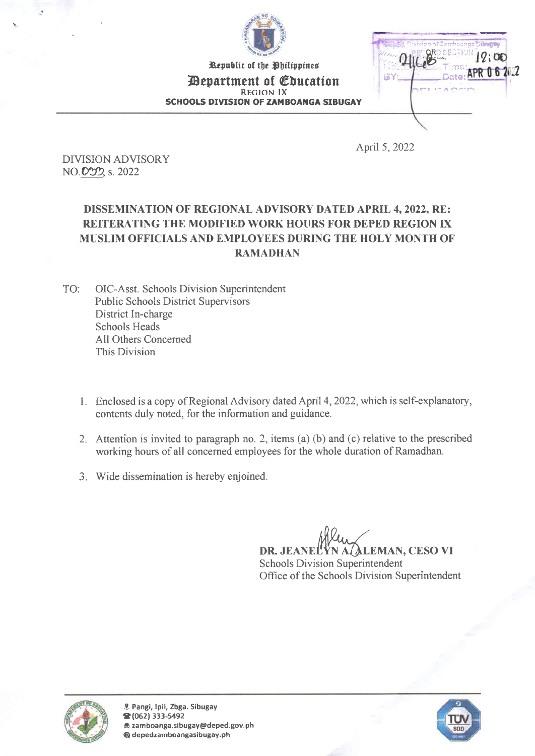

Republic of the Philippines *Department of Education* REGION IX SCHOOLS DIVISION OF ZAMBOANGA SIBUGAY



April 5, 2022

DIVISION ADVISORY NO. 000, s. 2022

## DISSEMINATION OF REGIONAL ADVISORY DATED APRIL 4, 2022, RE: REITERATING THE MODIFIED WORK HOURS FOR DEPED REGION IX MUSLIM OFFICIALS AND EMPLOYEES DURING THE HOLY MONTH OF RAMADHAN

TO: 01C-Asst. Schools Division Superintendent Public Schools District Supervisors District In-charge Schools Heads All Others Concerned This Division

- 1. Enclosed is a copy of Regional Advisory dated April 4, 2022, which is self-explanatory, contents duly noted, for the information and guidance.
- 2. Attention is invited to paragraph no. 2, items (a) (b) and (c) relative to the prescribed working hours of all concerned employees for the whole duration of Ramadhan.
- 3. Wide dissemination is hereby enjoined.

DR. JEANELYN A (ALEMAN, CESO VI Schools Division Superintendent Office of the Schools Division Superintendent